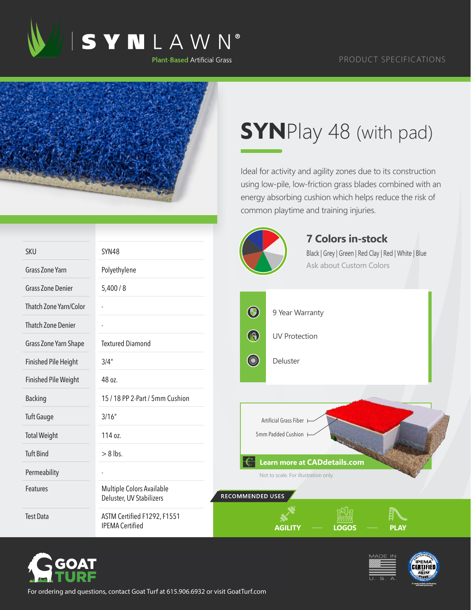



## **SYN**Play 48 (with pad)

Ideal for activity and agility zones due to its construction using low-pile, low-friction grass blades combined with an energy absorbing cushion which helps reduce the risk of common playtime and training injuries.

|                             |                                                       |                  | <b>7 Colors in-stock</b>                                                    |
|-----------------------------|-------------------------------------------------------|------------------|-----------------------------------------------------------------------------|
| <b>SKU</b>                  | <b>SYN48</b>                                          |                  | Black   Grey   Green   Red Clay   Red   White   Blue                        |
| <b>Grass Zone Yarn</b>      | Polyethylene                                          |                  | Ask about Custom Colors                                                     |
| <b>Grass Zone Denier</b>    | 5,400/8                                               |                  |                                                                             |
| Thatch Zone Yarn/Color      |                                                       | $\bigcirc$       | 9 Year Warranty                                                             |
| <b>Thatch Zone Denier</b>   |                                                       |                  |                                                                             |
| Grass Zone Yarn Shape       | <b>Textured Diamond</b>                               | $\bigcirc$       | <b>UV Protection</b>                                                        |
| <b>Finished Pile Height</b> | 3/4''                                                 | <b>Company</b>   | Deluster                                                                    |
| <b>Finished Pile Weight</b> | 48 oz.                                                |                  |                                                                             |
| <b>Backing</b>              | 15 / 18 PP 2-Part / 5mm Cushion                       |                  |                                                                             |
| <b>Tuft Gauge</b>           | 3/16''                                                |                  | Artificial Grass Fiber                                                      |
| <b>Total Weight</b>         | 114 oz.                                               |                  | 5mm Padded Cushion                                                          |
| <b>Tuft Bind</b>            | $> 8$ lbs.                                            |                  |                                                                             |
| Permeability                |                                                       |                  | <b>Learn more at CADdetails.com</b><br>Not to scale. For illustration only. |
| Features                    | Multiple Colors Available<br>Deluster, UV Stabilizers | RECOMMENDED USES |                                                                             |
| <b>Test Data</b>            | ASTM Certified F1292, F1551<br><b>IPEMA Certified</b> |                  | <b>LOGOS</b><br><b>PLAY</b><br><b>AGILITY</b>                               |







For ordering and questions, contact Goat Turf at 615.906.6932 or visit GoatTurf.com